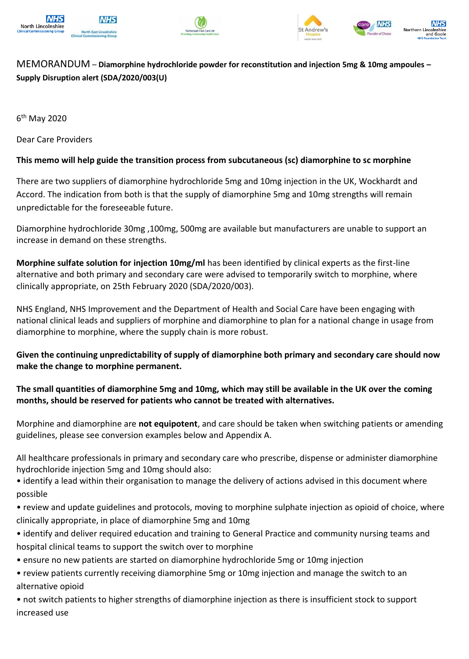





# MEMORANDUM – **Diamorphine hydrochloride powder for reconstitution and injection 5mg & 10mg ampoules – Supply Disruption alert (SDA/2020/003(U)**

6<sup>th</sup> May 2020

Dear Care Providers

## **This memo will help guide the transition process from subcutaneous (sc) diamorphine to sc morphine**

There are two suppliers of diamorphine hydrochloride 5mg and 10mg injection in the UK, Wockhardt and Accord. The indication from both is that the supply of diamorphine 5mg and 10mg strengths will remain unpredictable for the foreseeable future.

Diamorphine hydrochloride 30mg ,100mg, 500mg are available but manufacturers are unable to support an increase in demand on these strengths.

**Morphine sulfate solution for injection 10mg/ml** has been identified by clinical experts as the first-line alternative and both primary and secondary care were advised to temporarily switch to morphine, where clinically appropriate, on 25th February 2020 (SDA/2020/003).

NHS England, NHS Improvement and the Department of Health and Social Care have been engaging with national clinical leads and suppliers of morphine and diamorphine to plan for a national change in usage from diamorphine to morphine, where the supply chain is more robust.

**Given the continuing unpredictability of supply of diamorphine both primary and secondary care should now make the change to morphine permanent.** 

## **The small quantities of diamorphine 5mg and 10mg, which may still be available in the UK over the coming months, should be reserved for patients who cannot be treated with alternatives.**

Morphine and diamorphine are **not equipotent**, and care should be taken when switching patients or amending guidelines, please see conversion examples below and Appendix A.

All healthcare professionals in primary and secondary care who prescribe, dispense or administer diamorphine hydrochloride injection 5mg and 10mg should also:

• identify a lead within their organisation to manage the delivery of actions advised in this document where possible

• review and update guidelines and protocols, moving to morphine sulphate injection as opioid of choice, where clinically appropriate, in place of diamorphine 5mg and 10mg

- identify and deliver required education and training to General Practice and community nursing teams and hospital clinical teams to support the switch over to morphine
- ensure no new patients are started on diamorphine hydrochloride 5mg or 10mg injection
- review patients currently receiving diamorphine 5mg or 10mg injection and manage the switch to an alternative opioid

• not switch patients to higher strengths of diamorphine injection as there is insufficient stock to support increased use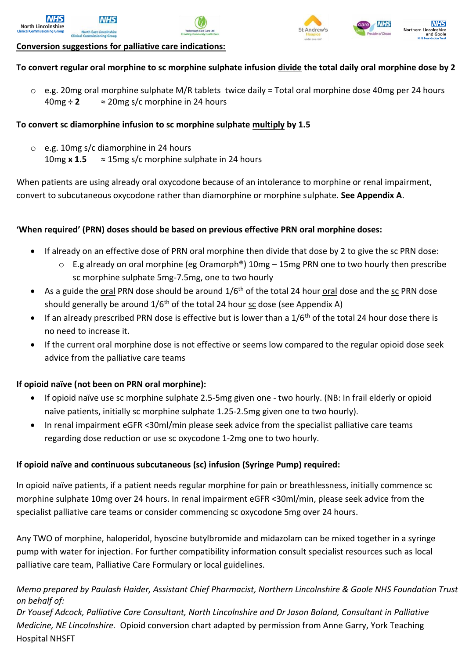



## **Conversion suggestions for palliative care indications:**

## **To convert regular oral morphine to sc morphine sulphate infusion divide the total daily oral morphine dose by 2**

 $\circ$  e.g. 20mg oral morphine sulphate M/R tablets twice daily = Total oral morphine dose 40mg per 24 hours 40mg **÷ 2** ≈ 20mg s/c morphine in 24 hours

#### **To convert sc diamorphine infusion to sc morphine sulphate multiply by 1.5**

o e.g. 10mg s/c diamorphine in 24 hours 10mg  $x 1.5$   $\approx 15$ mg s/c morphine sulphate in 24 hours

When patients are using already oral oxycodone because of an intolerance to morphine or renal impairment, convert to subcutaneous oxycodone rather than diamorphine or morphine sulphate. **See Appendix A**.

### **'When required' (PRN) doses should be based on previous effective PRN oral morphine doses:**

- If already on an effective dose of PRN oral morphine then divide that dose by 2 to give the sc PRN dose:
	- $\circ$  E.g already on oral morphine (eg Oramorph®) 10mg 15mg PRN one to two hourly then prescribe sc morphine sulphate 5mg-7.5mg, one to two hourly
- As a guide the oral PRN dose should be around  $1/6<sup>th</sup>$  of the total 24 hour oral dose and the sc PRN dose should generally be around  $1/6<sup>th</sup>$  of the total 24 hour sc dose (see Appendix A)
- If an already prescribed PRN dose is effective but is lower than a  $1/6$ <sup>th</sup> of the total 24 hour dose there is no need to increase it.
- If the current oral morphine dose is not effective or seems low compared to the regular opioid dose seek advice from the palliative care teams

### **If opioid naïve (not been on PRN oral morphine):**

- If opioid naïve use sc morphine sulphate 2.5-5mg given one two hourly. (NB: In frail elderly or opioid naïve patients, initially sc morphine sulphate 1.25-2.5mg given one to two hourly).
- In renal impairment eGFR <30ml/min please seek advice from the specialist palliative care teams regarding dose reduction or use sc oxycodone 1-2mg one to two hourly.

### **If opioid naïve and continuous subcutaneous (sc) infusion (Syringe Pump) required:**

In opioid naïve patients, if a patient needs regular morphine for pain or breathlessness, initially commence sc morphine sulphate 10mg over 24 hours. In renal impairment eGFR <30ml/min, please seek advice from the specialist palliative care teams or consider commencing sc oxycodone 5mg over 24 hours.

Any TWO of morphine, haloperidol, hyoscine butylbromide and midazolam can be mixed together in a syringe pump with water for injection. For further compatibility information consult specialist resources such as local palliative care team, Palliative Care Formulary or local guidelines.

### *Memo prepared by Paulash Haider, Assistant Chief Pharmacist, Northern Lincolnshire & Goole NHS Foundation Trust on behalf of:*

*Dr Yousef Adcock, Palliative Care Consultant, North Lincolnshire and Dr Jason Boland, Consultant in Palliative Medicine, NE Lincolnshire.* Opioid conversion chart adapted by permission from Anne Garry, York Teaching Hospital NHSFT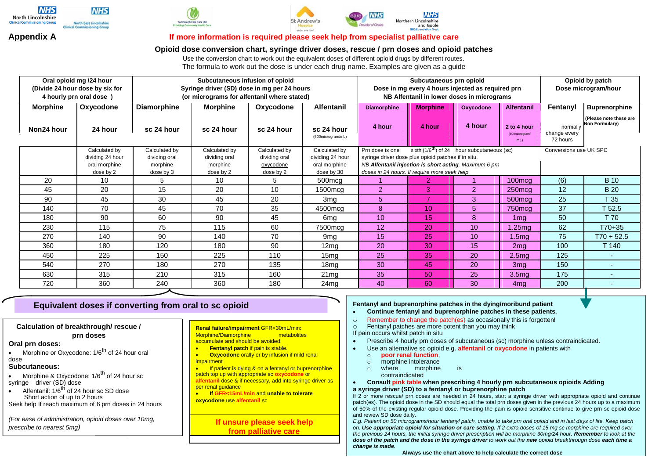







#### **Appendix A If more information is required please seek help from specialist palliative care**

#### **Opioid dose conversion chart, syringe driver doses, rescue / prn doses and opioid patches**

Use the conversion chart to work out the equivalent doses of different opioid drugs by different routes. The formula to work out the dose is under each drug name. Examples are given as a guide

| Oral opioid mg /24 hour<br>(Divide 24 hour dose by six for<br>4 hourly prn oral dose) |                                                | Subcutaneous infusion of opioid<br>Syringe driver (SD) dose in mg per 24 hours<br>(or micrograms for alfentanil where stated) |                                        |                                         |                                                 | Subcutaneous prn opioid<br>Dose in mg every 4 hours injected as required prn<br>NB Alfentanil in lower doses in micrograms                                    |                 |           |                                     | Opioid by patch<br>Dose microgram/hour |                                                 |
|---------------------------------------------------------------------------------------|------------------------------------------------|-------------------------------------------------------------------------------------------------------------------------------|----------------------------------------|-----------------------------------------|-------------------------------------------------|---------------------------------------------------------------------------------------------------------------------------------------------------------------|-----------------|-----------|-------------------------------------|----------------------------------------|-------------------------------------------------|
| <b>Morphine</b>                                                                       | Oxycodone                                      | <b>Diamorphine</b>                                                                                                            | <b>Morphine</b>                        | Oxycodone                               | <b>Alfentanil</b>                               | <b>Diamorphine</b>                                                                                                                                            | <b>Morphine</b> | Oxycodone | <b>Alfentanil</b>                   | Fentanyl                               | <b>Buprenorphine</b>                            |
| Non24 hour                                                                            | 24 hour                                        | sc 24 hour                                                                                                                    | sc 24 hour                             | sc 24 hour                              | sc 24 hour<br>(500microgram/mL)                 | 4 hour                                                                                                                                                        | 4 hour          | 4 hour    | 2 to 4 hour<br>(500microgram/<br>mL | normally<br>change every<br>72 hours   | (Please note these are<br><b>Non Formulary)</b> |
|                                                                                       | Calculated by                                  | Calculated by                                                                                                                 | Calculated by                          | Calculated by                           | Calculated by                                   | sixth $(1/6^{\text{th}})$ of 24 hour subcutaneous (sc)<br>Prn dose is one                                                                                     |                 |           |                                     | Conversions use UK SPC                 |                                                 |
|                                                                                       | dividing 24 hour<br>oral morphine<br>dose by 2 | dividing oral<br>morphine<br>dose by 3                                                                                        | dividing oral<br>morphine<br>dose by 2 | dividing oral<br>oxycodone<br>dose by 2 | dividing 24 hour<br>oral morphine<br>dose by 30 | syringe driver dose plus opioid patches if in situ.<br>NB Alfentanil injection is short acting. Maximum 6 prn<br>doses in 24 hours. If require more seek help |                 |           |                                     |                                        |                                                 |
| 20                                                                                    | 10                                             | 5                                                                                                                             | 10                                     | 5                                       | 500mcg                                          |                                                                                                                                                               | 2               |           | 100 <sub>mcq</sub>                  | (6)                                    | <b>B</b> 10                                     |
| 45                                                                                    | 20                                             | 15                                                                                                                            | 20                                     | 10                                      | $1500 \text{mcg}$                               | 2                                                                                                                                                             | 3               | 2         | $250 \text{mcg}$                    | 12                                     | <b>B</b> 20                                     |
| 90                                                                                    | 45                                             | 30                                                                                                                            | 45                                     | 20                                      | 3 <sub>mg</sub>                                 | 5                                                                                                                                                             |                 | 3         | 500 <sub>mcq</sub>                  | 25                                     | T <sub>35</sub>                                 |
| 140                                                                                   | 70                                             | 45                                                                                                                            | 70                                     | 35                                      | 4500mcg                                         | 8                                                                                                                                                             | 10 <sup>°</sup> | 5         | 750mcg                              | 37                                     | T 52.5                                          |
| 180                                                                                   | 90                                             | 60                                                                                                                            | 90                                     | 45                                      | 6mg                                             | 10                                                                                                                                                            | 15              | 8         | 1 <sub>mq</sub>                     | 50                                     | T 70                                            |
| 230                                                                                   | 115                                            | 75                                                                                                                            | 115                                    | 60                                      | 7500mcg                                         | 12                                                                                                                                                            | 20              | 10        | 1.25mg                              | 62                                     | T70+35                                          |
| 270                                                                                   | 140                                            | 90                                                                                                                            | 140                                    | 70                                      | 9 <sub>mg</sub>                                 | 15                                                                                                                                                            | 25              | 10        | 1.5 <sub>mg</sub>                   | 75                                     | $T70 + 52.5$                                    |
| 360                                                                                   | 180                                            | 120                                                                                                                           | 180                                    | 90                                      | 12 <sub>mg</sub>                                | 20                                                                                                                                                            | 30              | 15        | 2 <sub>mq</sub>                     | 100                                    | T 140                                           |
| 450                                                                                   | 225                                            | 150                                                                                                                           | 225                                    | 110                                     | 15 <sub>mg</sub>                                | 25                                                                                                                                                            | 35              | 20        | 2.5 <sub>mg</sub>                   | 125                                    |                                                 |
| 540                                                                                   | 270                                            | 180                                                                                                                           | 270                                    | 135                                     | 18mg                                            | 30                                                                                                                                                            | 45              | 20        | 3 <sub>mq</sub>                     | 150                                    |                                                 |
| 630                                                                                   | 315                                            | 210                                                                                                                           | 315                                    | 160                                     | 21mg                                            | 35                                                                                                                                                            | 50              | 25        | 3.5 <sub>mq</sub>                   | 175                                    |                                                 |
| 720                                                                                   | 360                                            | 240                                                                                                                           | 360                                    | 180                                     | 24mg                                            | 40                                                                                                                                                            | 60              | 30        | 4ma                                 | 200                                    |                                                 |

# **Equivalent doses if converting from oral to sc opioid Fentanyl and buprenorphine patches in the dying/moribund patient**<br>Continue fentanyl and buprenorphine patches in these patients

**Calculation of breakthrough/ rescue / prn doses**

#### **Oral prn doses:**

Morphine or Oxycodone: 1/6<sup>th</sup> of 24 hour oral dose

#### **Subcutaneous:**

- Morphine & Oxycodone: 1/6<sup>th</sup> of 24 hour sc syringe driver (SD) dose
- $\bullet$  Alfentanil: 1/6<sup>th</sup> of 24 hour sc SD dose Short action of up to 2 hours Seek help If reach maximum of 6 prn doses in 24 hours

*(For ease of administration, opioid doses over 10mg, prescribe to nearest 5mg)*

**Renal failure/impairment** GFR<30mL/min**:** Morphine/Diamorphine metabolites accumulate and should be avoided.

- **Fentanyl patch if pain is stable.**
- **Oxycodone** orally or by infusion if mild renal **impairment**

**If patient is dying & on a fentanyl or buprenorphine** patch top up with appropriate sc **oxycodone** or **alfentanil** dose & if necessary, add into syringe driver as per renal guidance

 **If GFR<15mL/min** and **unable to tolerate oxycodone** use **alfentanil** sc

> **If unsure please seek help from palliative care**

- **Continue fentanyl and buprenorphine patches in these patients.**
- o Remember to change the patch(es) as occasionally this is forgotten!
- o Fentanyl patches are more potent than you may think

If pain occurs whilst patch in situ

- Prescribe 4 hourly prn doses of subcutaneous (sc) morphine unless contraindicated.
- Use an alternative sc opioid e.g. **alfentanil** or **oxycodone** in patients with
	- o **poor renal function**,
	- o morphine intolerance<br>
	o where morphine
	- o where morphine is contraindicated
- **Consult pink table when prescribing 4 hourly prn subcutaneous opioids Adding**

**a syringe driver (SD) to a fentanyl or buprenorphine patch**

If 2 or more rescue/ prn doses are needed in 24 hours, start a syringe driver with appropriate opioid and continue patch(es). The opioid dose in the SD should equal the total prn doses given in the previous 24 hours up to a maximum of 50% of the existing regular opioid dose. Providing the pain is opioid sensitive continue to give prn sc opioid dose and review SD dose daily.

*E.g. Patient on 50 micrograms/hour fentanyl patch, unable to take prn oral opioid and in last days of life. Keep patch on. Use appropriate opioid for situation or care setting. If 2 extra doses of 15 mg sc morphine are required over the previous 24 hours, the initial syringe driver prescription will be morphine 30mg/24 hour. Remember to look at the dose of the patch and the dose in the syringe driver to work out the new opioid breakthrough dose each time a change is made.*

**Always use the chart above to help calculate the correct dose**